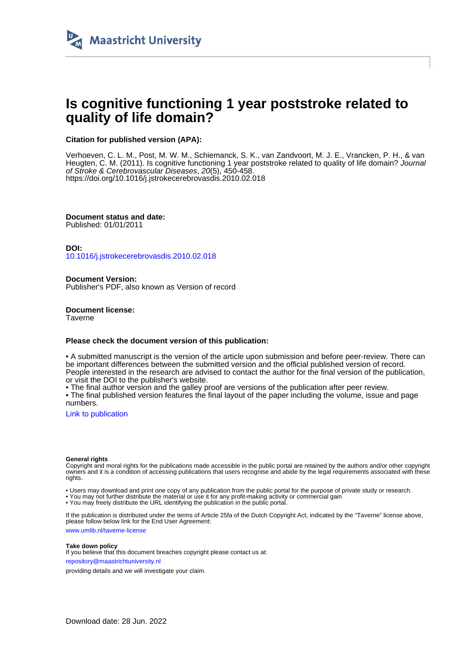

# **Is cognitive functioning 1 year poststroke related to quality of life domain?**

# **Citation for published version (APA):**

Verhoeven, C. L. M., Post, M. W. M., Schiemanck, S. K., van Zandvoort, M. J. E., Vrancken, P. H., & van Heugten, C. M. (2011). Is cognitive functioning 1 year poststroke related to quality of life domain? Journal of Stroke & Cerebrovascular Diseases, 20(5), 450-458. <https://doi.org/10.1016/j.jstrokecerebrovasdis.2010.02.018>

**Document status and date:** Published: 01/01/2011

**DOI:**

[10.1016/j.jstrokecerebrovasdis.2010.02.018](https://doi.org/10.1016/j.jstrokecerebrovasdis.2010.02.018)

**Document Version:** Publisher's PDF, also known as Version of record

**Document license: Taverne** 

## **Please check the document version of this publication:**

• A submitted manuscript is the version of the article upon submission and before peer-review. There can be important differences between the submitted version and the official published version of record. People interested in the research are advised to contact the author for the final version of the publication, or visit the DOI to the publisher's website.

• The final author version and the galley proof are versions of the publication after peer review.

• The final published version features the final layout of the paper including the volume, issue and page numbers.

[Link to publication](https://cris.maastrichtuniversity.nl/en/publications/a23fb67d-02ea-42d5-a1cb-d18a17445a51)

#### **General rights**

Copyright and moral rights for the publications made accessible in the public portal are retained by the authors and/or other copyright owners and it is a condition of accessing publications that users recognise and abide by the legal requirements associated with these rights.

• Users may download and print one copy of any publication from the public portal for the purpose of private study or research.

• You may not further distribute the material or use it for any profit-making activity or commercial gain

• You may freely distribute the URL identifying the publication in the public portal.

If the publication is distributed under the terms of Article 25fa of the Dutch Copyright Act, indicated by the "Taverne" license above, please follow below link for the End User Agreement:

www.umlib.nl/taverne-license

### **Take down policy**

If you believe that this document breaches copyright please contact us at: repository@maastrichtuniversity.nl

providing details and we will investigate your claim.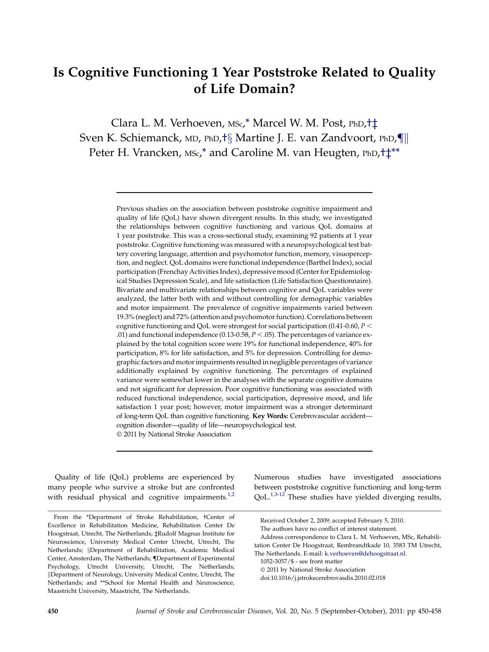# Is Cognitive Functioning 1 Year Poststroke Related to Quality of Life Domain?

Clara L. M. Verhoeven, MSc,\* Marcel W. M. Post, PhD,†‡ Sven K. Schiemanck, MD, PhD, †§ Martine J. E. van Zandvoort, PhD, [km] Peter H. Vrancken, MSc,\* and Caroline M. van Heugten, PhD,†‡\*\*

> Previous studies on the association between poststroke cognitive impairment and quality of life (QoL) have shown divergent results. In this study, we investigated the relationships between cognitive functioning and various QoL domains at 1 year poststroke. This was a cross-sectional study, examining 92 patients at 1 year poststroke. Cognitive functioning was measured with a neuropsychological test battery covering language, attention and psychomotor function, memory, visuoperception, and neglect. QoL domains were functional independence (Barthel Index), social participation (Frenchay Activities Index), depressive mood (Center for Epidemiological Studies Depression Scale), and life satisfaction (Life Satisfaction Questionnaire). Bivariate and multivariate relationships between cognitive and QoL variables were analyzed, the latter both with and without controlling for demographic variables and motor impairment. The prevalence of cognitive impairments varied between 19.3% (neglect) and 72% (attention and psychomotor function). Correlations between cognitive functioning and QoL were strongest for social participation (0.41-0.60,  $P <$ .01) and functional independence (0.13-0.58,  $P < .05$ ). The percentages of variance explained by the total cognition score were 19% for functional independence, 40% for participation, 8% for life satisfaction, and 5% for depression. Controlling for demographic factors and motor impairments resulted in negligible percentages of variance additionally explained by cognitive functioning. The percentages of explained variance were somewhat lower in the analyses with the separate cognitive domains and not significant for depression. Poor cognitive functioning was associated with reduced functional independence, social participation, depressive mood, and life satisfaction 1 year post; however, motor impairment was a stronger determinant of long-term QoL than cognitive functioning. Key Words: Cerebrovascular accident cognition disorder—quality of life—neuropsychological test. - 2011 by National Stroke Association

Quality of life (QoL) problems are experienced by many people who survive a stroke but are confronted with residual physical and cognitive impairments.<sup>[1,2](#page-8-0)</sup> Numerous studies have investigated associations between poststroke cognitive functioning and long-term QoL.<sup>[1,3-12](#page-8-0)</sup> These studies have yielded diverging results,

From the \*Department of Stroke Rehabilitation, †Center of Excellence in Rehabilitation Medicine, Rehabilitation Center De Hoogstraat, Utrecht, The Netherlands; ‡Rudolf Magnus Institute for Neuroscience, University Medical Center Utrecht, Utrecht, The Netherlands; <sup>§</sup>Department of Rehabilitation, Academic Medical Center, Amsterdam, The Netherlands; {Department of Experimental Psychology, Utrecht University, Utrecht, The Netherlands; kDepartment of Neurology, University Medical Centre, Utrecht, The Netherlands; and \*\*School for Mental Health and Neuroscience, Maastricht University, Maastricht, The Netherlands.

Received October 2, 2009; accepted February 5, 2010.

The authors have no conflict of interest statement.

Address correspondence to Clara L. M. Verhoeven, MSc, Rehabili-

tation Center De Hoogstraat, Rembrandtkade 10, 3583 TM Utrecht, The Netherlands. E-mail: [k.verhoeven@dehoogstraat.nl.](mailto:k.verhoeven@dehoogstraat.nl)

<sup>1052-3057/\$ -</sup> see front matter

<sup>-</sup> 2011 by National Stroke Association

doi:10.1016/j.jstrokecerebrovasdis.2010.02.018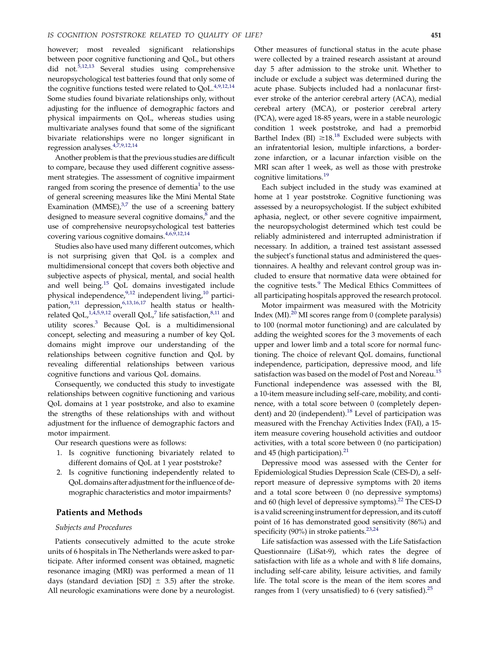however; most revealed significant relationships between poor cognitive functioning and QoL, but others did not.[5,12,13](#page-8-0) Several studies using comprehensive neuropsychological test batteries found that only some of the cognitive functions tested were related to QoL.<sup>[4,9,12,14](#page-8-0)</sup> Some studies found bivariate relationships only, without adjusting for the influence of demographic factors and physical impairments on QoL, whereas studies using multivariate analyses found that some of the significant bivariate relationships were no longer significant in regression analyses.[4,7,9,12,14](#page-8-0)

Another problem is that the previous studies are difficult to compare, because they used different cognitive assessment strategies. The assessment of cognitive impairment ranged from scoring the presence of dementia<sup>1</sup> to the use of general screening measures like the Mini Mental State Examination (MMSE), $3,7$  the use of a screening battery designed to measure several cognitive domains,<sup>[8](#page-8-0)</sup> and the use of comprehensive neuropsychological test batteries covering various cognitive domains.<sup>[4,6,9,12,14](#page-8-0)</sup>

Studies also have used many different outcomes, which is not surprising given that QoL is a complex and multidimensional concept that covers both objective and subjective aspects of physical, mental, and social health and well being.[15](#page-8-0) QoL domains investigated include physical independence,<sup>[9,12](#page-8-0)</sup> independent living,<sup>[10](#page-8-0)</sup> partici-pation,<sup>[9,11](#page-8-0)</sup> depression,<sup>[6,13,16,17](#page-8-0)</sup> health status or health-related QoL,<sup>[1,4,5,9,12](#page-8-0)</sup> overall QoL,<sup>7</sup> life satisfaction,<sup>[8,11](#page-8-0)</sup> and utility scores[.3](#page-8-0) Because QoL is a multidimensional concept, selecting and measuring a number of key QoL domains might improve our understanding of the relationships between cognitive function and QoL by revealing differential relationships between various cognitive functions and various QoL domains.

Consequently, we conducted this study to investigate relationships between cognitive functioning and various QoL domains at 1 year poststroke, and also to examine the strengths of these relationships with and without adjustment for the influence of demographic factors and motor impairment.

Our research questions were as follows:

- 1. Is cognitive functioning bivariately related to different domains of QoL at 1 year poststroke?
- 2. Is cognitive functioning independently related to QoL domains after adjustment for the influence of demographic characteristics and motor impairments?

## Patients and Methods

#### Subjects and Procedures

Patients consecutively admitted to the acute stroke units of 6 hospitals in The Netherlands were asked to participate. After informed consent was obtained, magnetic resonance imaging (MRI) was performed a mean of 11 days (standard deviation [SD]  $\pm$  3.5) after the stroke. All neurologic examinations were done by a neurologist. Other measures of functional status in the acute phase were collected by a trained research assistant at around day 5 after admission to the stroke unit. Whether to include or exclude a subject was determined during the acute phase. Subjects included had a nonlacunar firstever stroke of the anterior cerebral artery (ACA), medial cerebral artery (MCA), or posterior cerebral artery (PCA), were aged 18-85 years, were in a stable neurologic condition 1 week poststroke, and had a premorbid Barthel Index (BI)  $\geq 18.18$  $\geq 18.18$  $\geq 18.18$  Excluded were subjects with an infratentorial lesion, multiple infarctions, a borderzone infarction, or a lacunar infarction visible on the MRI scan after 1 week, as well as those with prestroke cognitive limitations.<sup>[19](#page-8-0)</sup>

Each subject included in the study was examined at home at 1 year poststroke. Cognitive functioning was assessed by a neuropsychologist. If the subject exhibited aphasia, neglect, or other severe cognitive impairment, the neuropsychologist determined which test could be reliably administered and interrupted administration if necessary. In addition, a trained test assistant assessed the subject's functional status and administered the questionnaires. A healthy and relevant control group was included to ensure that normative data were obtained for the cognitive tests.<sup>[9](#page-8-0)</sup> The Medical Ethics Committees of all participating hospitals approved the research protocol.

Motor impairment was measured with the Motricity Index (MI).<sup>[20](#page-8-0)</sup> MI scores range from 0 (complete paralysis) to 100 (normal motor functioning) and are calculated by adding the weighted scores for the 3 movements of each upper and lower limb and a total score for normal functioning. The choice of relevant QoL domains, functional independence, participation, depressive mood, and life satisfaction was based on the model of Post and Noreau.<sup>[15](#page-8-0)</sup> Functional independence was assessed with the BI, a 10-item measure including self-care, mobility, and continence, with a total score between 0 (completely depen-dent) and 20 (independent).<sup>[18](#page-8-0)</sup> Level of participation was measured with the Frenchay Activities Index (FAI), a 15 item measure covering household activities and outdoor activities, with a total score between 0 (no participation) and  $45$  (high participation). $^{21}$  $^{21}$  $^{21}$ 

Depressive mood was assessed with the Center for Epidemiological Studies Depression Scale (CES-D), a selfreport measure of depressive symptoms with 20 items and a total score between 0 (no depressive symptoms) and 60 (high level of depressive symptoms).<sup>22</sup> The CES-D is a valid screening instrument for depression, and its cutoff point of 16 has demonstrated good sensitivity (86%) and specificity (90%) in stroke patients.<sup>23,24</sup>

Life satisfaction was assessed with the Life Satisfaction Questionnaire (LiSat-9), which rates the degree of satisfaction with life as a whole and with 8 life domains, including self-care ability, leisure activities, and family life. The total score is the mean of the item scores and ranges from 1 (very unsatisfied) to 6 (very satisfied). $^{25}$  $^{25}$  $^{25}$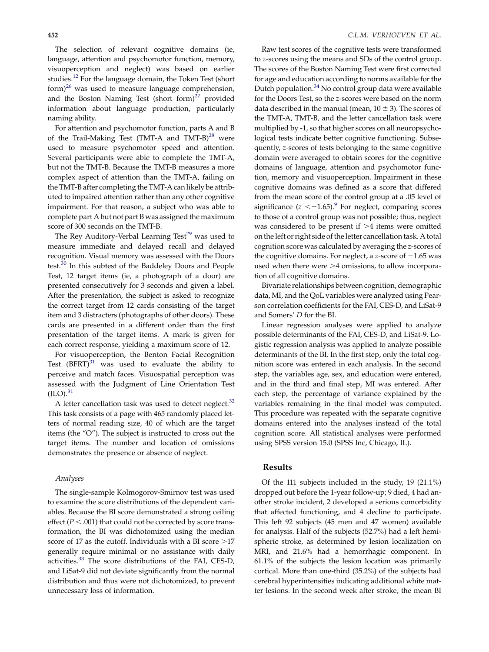The selection of relevant cognitive domains (ie, language, attention and psychomotor function, memory, visuoperception and neglect) was based on earlier studies.<sup>[12](#page-8-0)</sup> For the language domain, the Token Test (short  $form)^{26}$  $form)^{26}$  $form)^{26}$  was used to measure language comprehension, and the Boston Naming Test (short form) $27$  provided information about language production, particularly naming ability.

For attention and psychomotor function, parts A and B of the Trail-Making Test (TMT-A and TMT-B)<sup>[28](#page-8-0)</sup> were used to measure psychomotor speed and attention. Several participants were able to complete the TMT-A, but not the TMT-B. Because the TMT-B measures a more complex aspect of attention than the TMT-A, failing on the TMT-B after completing the TMT-A can likely be attributed to impaired attention rather than any other cognitive impairment. For that reason, a subject who was able to complete part A but not part B was assigned the maximum score of 300 seconds on the TMT-B.

The Rey Auditory-Verbal Learning Test<sup>29</sup> was used to measure immediate and delayed recall and delayed recognition. Visual memory was assessed with the Doors test.<sup>[30](#page-8-0)</sup> In this subtest of the Baddeley Doors and People Test, 12 target items (ie, a photograph of a door) are presented consecutively for 3 seconds and given a label. After the presentation, the subject is asked to recognize the correct target from 12 cards consisting of the target item and 3 distracters (photographs of other doors). These cards are presented in a different order than the first presentation of the target items. A mark is given for each correct response, yielding a maximum score of 12.

For visuoperception, the Benton Facial Recognition Test  $(BFRT)^{31}$  $(BFRT)^{31}$  $(BFRT)^{31}$  was used to evaluate the ability to perceive and match faces. Visuospatial perception was assessed with the Judgment of Line Orientation Test  $(JLO).$ <sup>[31](#page-8-0)</sup>

A letter cancellation task was used to detect neglect. $32$ This task consists of a page with 465 randomly placed letters of normal reading size, 40 of which are the target items (the "O"). The subject is instructed to cross out the target items. The number and location of omissions demonstrates the presence or absence of neglect.

#### Analyses

The single-sample Kolmogorov-Smirnov test was used to examine the score distributions of the dependent variables. Because the BI score demonstrated a strong ceiling effect ( $P < .001$ ) that could not be corrected by score transformation, the BI was dichotomized using the median score of 17 as the cutoff. Individuals with a BI score  $>17$ generally require minimal or no assistance with daily activities.[33](#page-8-0) The score distributions of the FAI, CES-D, and LiSat-9 did not deviate significantly from the normal distribution and thus were not dichotomized, to prevent unnecessary loss of information.

Raw test scores of the cognitive tests were transformed to z-scores using the means and SDs of the control group. The scores of the Boston Naming Test were first corrected for age and education according to norms available for the Dutch population.[34](#page-8-0) No control group data were available for the Doors Test, so the z-scores were based on the norm data described in the manual (mean,  $10 \pm 3$ ). The scores of the TMT-A, TMT-B, and the letter cancellation task were multiplied by -1, so that higher scores on all neuropsychological tests indicate better cognitive functioning. Subsequently, z-scores of tests belonging to the same cognitive domain were averaged to obtain scores for the cognitive domains of language, attention and psychomotor function, memory and visuoperception. Impairment in these cognitive domains was defined as a score that differed from the mean score of the control group at a .05 level of significance ( $z < -1.65$ ).<sup>9</sup> For neglect, comparing scores to those of a control group was not possible; thus, neglect was considered to be present if  $>4$  items were omitted on the left or right side of the letter cancellation task. A total cognition score was calculated by averaging the z-scores of the cognitive domains. For neglect, a z-score of  $-1.65$  was used when there were  $>4$  omissions, to allow incorporation of all cognitive domains.

Bivariate relationships between cognition, demographic data, MI, and the QoL variables were analyzed using Pearson correlation coefficients for the FAI, CES-D, and LiSat-9 and Somers' D for the BI.

Linear regression analyses were applied to analyze possible determinants of the FAI, CES-D, and LiSat-9. Logistic regression analysis was applied to analyze possible determinants of the BI. In the first step, only the total cognition score was entered in each analysis. In the second step, the variables age, sex, and education were entered, and in the third and final step, MI was entered. After each step, the percentage of variance explained by the variables remaining in the final model was computed. This procedure was repeated with the separate cognitive domains entered into the analyses instead of the total cognition score. All statistical analyses were performed using SPSS version 15.0 (SPSS Inc, Chicago, IL).

#### Results

Of the 111 subjects included in the study, 19 (21.1%) dropped out before the 1-year follow-up; 9 died, 4 had another stroke incident, 2 developed a serious comorbidity that affected functioning, and 4 decline to participate. This left 92 subjects (45 men and 47 women) available for analysis. Half of the subjects (52.7%) had a left hemispheric stroke, as determined by lesion localization on MRI, and 21.6% had a hemorrhagic component. In 61.1% of the subjects the lesion location was primarily cortical. More than one-third (35.2%) of the subjects had cerebral hyperintensities indicating additional white matter lesions. In the second week after stroke, the mean BI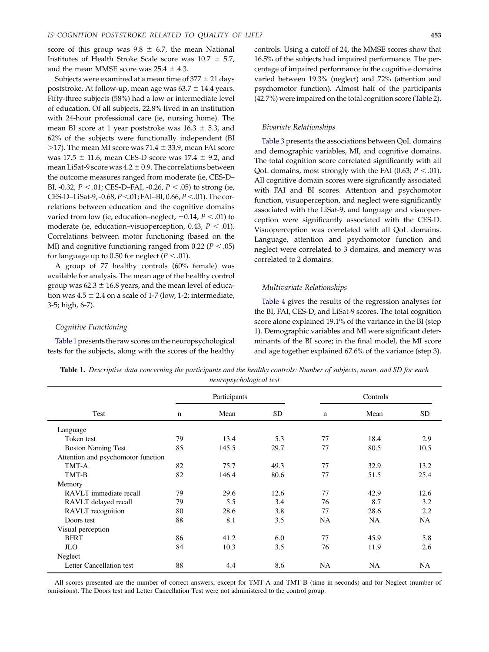score of this group was  $9.8 \pm 6.7$ , the mean National Institutes of Health Stroke Scale score was  $10.7 \pm 5.7$ , and the mean MMSE score was  $25.4 \pm 4.3$ .

Subjects were examined at a mean time of  $377 \pm 21$  days poststroke. At follow-up, mean age was  $63.7 \pm 14.4$  years. Fifty-three subjects (58%) had a low or intermediate level of education. Of all subjects, 22.8% lived in an institution with 24-hour professional care (ie, nursing home). The mean BI score at 1 year poststroke was  $16.3 \pm 5.3$ , and 62% of the subjects were functionally independent (BI  $>$ 17). The mean MI score was 71.4  $\pm$  33.9, mean FAI score was  $17.5 \pm 11.6$ , mean CES-D score was  $17.4 \pm 9.2$ , and mean LiSat-9 score was  $4.2 \pm 0.9$ . The correlations between the outcome measures ranged from moderate (ie, CES-D– BI, -0.32,  $P < .01$ ; CES-D–FAI, -0.26,  $P < .05$ ) to strong (ie, CES-D–LiSat-9, -0.68,  $P < 01$ ; FAI–BI, 0.66,  $P < .01$ ). The correlations between education and the cognitive domains varied from low (ie, education–neglect,  $-0.14$ ,  $P < .01$ ) to moderate (ie, education–visuoperception, 0.43,  $P < .01$ ). Correlations between motor functioning (based on the MI) and cognitive functioning ranged from 0.22 ( $P < .05$ ) for language up to 0.50 for neglect ( $P < .01$ ).

A group of 77 healthy controls (60% female) was available for analysis. The mean age of the healthy control group was  $62.3 \pm 16.8$  years, and the mean level of education was  $4.5 \pm 2.4$  on a scale of 1-7 (low, 1-2; intermediate, 3-5; high, 6-7).

## Cognitive Functioning

Table 1 presents the raw scores on the neuropsychological tests for the subjects, along with the scores of the healthy controls. Using a cutoff of 24, the MMSE scores show that 16.5% of the subjects had impaired performance. The percentage of impaired performance in the cognitive domains varied between 19.3% (neglect) and 72% (attention and psychomotor function). Almost half of the participants (42.7%) were impaired on the total cognition score [\(Table 2\)](#page-5-0).

### Bivariate Relationships

[Table 3](#page-5-0) presents the associations between QoL domains and demographic variables, MI, and cognitive domains. The total cognition score correlated significantly with all QoL domains, most strongly with the FAI (0.63;  $P < .01$ ). All cognitive domain scores were significantly associated with FAI and BI scores. Attention and psychomotor function, visuoperception, and neglect were significantly associated with the LiSat-9, and language and visuoperception were significantly associated with the CES-D. Visuoperception was correlated with all QoL domains. Language, attention and psychomotor function and neglect were correlated to 3 domains, and memory was correlated to 2 domains.

#### Multivariate Relationships

[Table 4](#page-6-0) gives the results of the regression analyses for the BI, FAI, CES-D, and LiSat-9 scores. The total cognition score alone explained 19.1% of the variance in the BI (step 1). Demographic variables and MI were significant determinants of the BI score; in the final model, the MI score and age together explained 67.6% of the variance (step 3).

Table 1. Descriptive data concerning the participants and the healthy controls: Number of subjects, mean, and SD for each neuropsychological test

|                                    |             | Participants |      |             | Controls  |           |  |  |
|------------------------------------|-------------|--------------|------|-------------|-----------|-----------|--|--|
| Test                               | $\mathbf n$ | Mean         | SD.  | $\mathbf n$ | Mean      | <b>SD</b> |  |  |
| Language                           |             |              |      |             |           |           |  |  |
| Token test                         | 79          | 13.4         | 5.3  | 77          | 18.4      | 2.9       |  |  |
| <b>Boston Naming Test</b>          | 85          | 145.5        | 29.7 | 77          | 80.5      | 10.5      |  |  |
| Attention and psychomotor function |             |              |      |             |           |           |  |  |
| TMT-A                              | 82          | 75.7         | 49.3 | 77          | 32.9      | 13.2      |  |  |
| TMT-B                              | 82          | 146.4        | 80.6 | 77          | 51.5      | 25.4      |  |  |
| Memory                             |             |              |      |             |           |           |  |  |
| RAVLT immediate recall             | 79          | 29.6         | 12.6 | 77          | 42.9      | 12.6      |  |  |
| RAVLT delayed recall               | 79          | 5.5          | 3.4  | 76          | 8.7       | 3.2       |  |  |
| RAVLT recognition                  | 80          | 28.6         | 3.8  | 77          | 28.6      | 2.2       |  |  |
| Doors test                         | 88          | 8.1          | 3.5  | <b>NA</b>   | <b>NA</b> | <b>NA</b> |  |  |
| Visual perception                  |             |              |      |             |           |           |  |  |
| <b>BFRT</b>                        | 86          | 41.2         | 6.0  | 77          | 45.9      | 5.8       |  |  |
| JLO                                | 84          | 10.3         | 3.5  | 76          | 11.9      | 2.6       |  |  |
| Neglect                            |             |              |      |             |           |           |  |  |
| Letter Cancellation test           | 88          | 4.4          | 8.6  | <b>NA</b>   | NA        | <b>NA</b> |  |  |

All scores presented are the number of correct answers, except for TMT-A and TMT-B (time in seconds) and for Neglect (number of omissions). The Doors test and Letter Cancellation Test were not administered to the control group.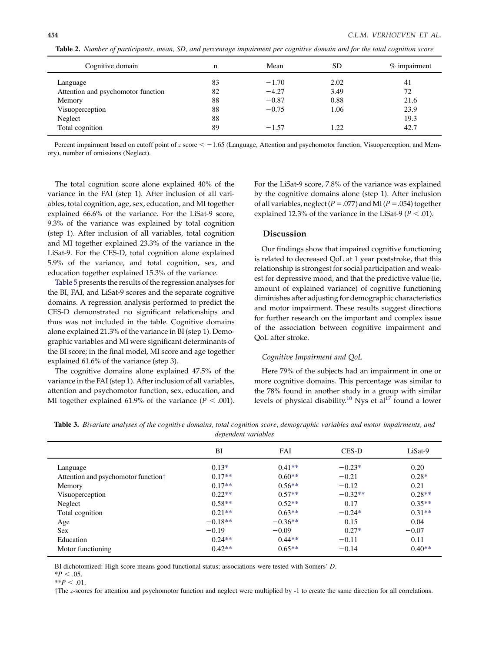| Cognitive domain                   | n  | Mean    | SD   | % impairment |
|------------------------------------|----|---------|------|--------------|
| Language                           | 83 | $-1.70$ | 2.02 | 41           |
| Attention and psychomotor function | 82 | $-4.27$ | 3.49 | 72           |
| Memory                             | 88 | $-0.87$ | 0.88 | 21.6         |
| Visuoperception                    | 88 | $-0.75$ | 1.06 | 23.9         |
| Neglect                            | 88 |         |      | 19.3         |
| Total cognition                    | 89 | $-1.57$ | 1.22 | 42.7         |

<span id="page-5-0"></span>Table 2. Number of participants, mean, SD, and percentage impairment per cognitive domain and for the total cognition score

Percent impairment based on cutoff point of  $z$  score  $\leq -1.65$  (Language, Attention and psychomotor function, Visuoperception, and Memory), number of omissions (Neglect).

The total cognition score alone explained 40% of the variance in the FAI (step 1). After inclusion of all variables, total cognition, age, sex, education, and MI together explained 66.6% of the variance. For the LiSat-9 score, 9.3% of the variance was explained by total cognition (step 1). After inclusion of all variables, total cognition and MI together explained 23.3% of the variance in the LiSat-9. For the CES-D, total cognition alone explained 5.9% of the variance, and total cognition, sex, and education together explained 15.3% of the variance.

[Table 5](#page-7-0) presents the results of the regression analyses for the BI, FAI, and LiSat-9 scores and the separate cognitive domains. A regression analysis performed to predict the CES-D demonstrated no significant relationships and thus was not included in the table. Cognitive domains alone explained 21.3% of the variance in BI (step 1). Demographic variables and MI were significant determinants of the BI score; in the final model, MI score and age together explained 61.6% of the variance (step 3).

The cognitive domains alone explained 47.5% of the variance in the FAI (step 1). After inclusion of all variables, attention and psychomotor function, sex, education, and MI together explained 61.9% of the variance ( $P < .001$ ). For the LiSat-9 score, 7.8% of the variance was explained by the cognitive domains alone (step 1). After inclusion of all variables, neglect ( $P = .077$ ) and MI ( $P = .054$ ) together explained 12.3% of the variance in the LiSat-9 ( $P < .01$ ).

## Discussion

Our findings show that impaired cognitive functioning is related to decreased QoL at 1 year poststroke, that this relationship is strongest for social participation and weakest for depressive mood, and that the predictive value (ie, amount of explained variance) of cognitive functioning diminishes after adjusting for demographic characteristics and motor impairment. These results suggest directions for further research on the important and complex issue of the association between cognitive impairment and QoL after stroke.

#### Cognitive Impairment and QoL

Here 79% of the subjects had an impairment in one or more cognitive domains. This percentage was similar to the 78% found in another study in a group with similar levels of physical disability.<sup>[10](#page-8-0)</sup> Nys et al<sup>[17](#page-8-0)</sup> found a lower

Table 3. Bivariate analyses of the cognitive domains, total cognition score, demographic variables and motor impairments, and dependent variables

|                                                 | BI        | FAI       | <b>CES-D</b> | LiSat-9  |
|-------------------------------------------------|-----------|-----------|--------------|----------|
| Language                                        | $0.13*$   | $0.41**$  | $-0.23*$     | 0.20     |
| Attention and psychomotor function <sup>†</sup> | $0.17**$  | $0.60**$  | $-0.21$      | $0.28*$  |
| Memory                                          | $0.17**$  | $0.56**$  | $-0.12$      | 0.21     |
| Visuoperception                                 | $0.22**$  | $0.57**$  | $-0.32**$    | $0.28**$ |
| Neglect                                         | $0.58**$  | $0.52**$  | 0.17         | $0.35**$ |
| Total cognition                                 | $0.21**$  | $0.63**$  | $-0.24*$     | $0.31**$ |
| Age                                             | $-0.18**$ | $-0.36**$ | 0.15         | 0.04     |
| <b>Sex</b>                                      | $-0.19$   | $-0.09$   | $0.27*$      | $-0.07$  |
| Education                                       | $0.24**$  | $0.44**$  | $-0.11$      | 0.11     |
| Motor functioning                               | $0.42**$  | $0.65**$  | $-0.14$      | $0.40**$ |

BI dichotomized: High score means good functional status; associations were tested with Somers' D.

 $*P < .05.$ 

 $*$  $P < .01$ .

The z-scores for attention and psychomotor function and neglect were multiplied by -1 to create the same direction for all correlations.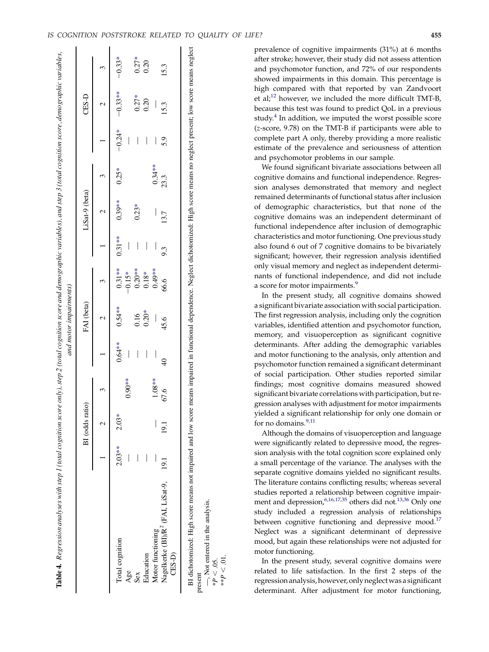<span id="page-6-0"></span>

|                                                                                                                                                                                          |          |                 |          |                          | and motor impairments) |           |                          |                          |          |          |           |          |
|------------------------------------------------------------------------------------------------------------------------------------------------------------------------------------------|----------|-----------------|----------|--------------------------|------------------------|-----------|--------------------------|--------------------------|----------|----------|-----------|----------|
|                                                                                                                                                                                          |          | BI (odds ratio) |          |                          | FAI (beta)             |           |                          | LiSat-9 (beta)           |          |          | $CES-D$   |          |
|                                                                                                                                                                                          |          |                 |          |                          |                        |           |                          |                          |          |          |           |          |
| Total cognition                                                                                                                                                                          | $2.03**$ | $2.03*$         |          | $0.64***$                | $0.54**$               | $0.31***$ | $0.31***$                | $0.39**$                 | $0.25*$  | $-0.24*$ | $-0.33**$ | $-0.33*$ |
| Age                                                                                                                                                                                      |          |                 | $0.90**$ |                          |                        | $-0.15*$  |                          |                          |          |          |           |          |
| Sex                                                                                                                                                                                      |          |                 |          | $\overline{\phantom{a}}$ | 0.16                   | $0.20**$  | $\overline{\phantom{a}}$ | $0.23*$                  |          |          | $0.27*$   | $0.27*$  |
| Education                                                                                                                                                                                | I        |                 |          | $\overline{\phantom{a}}$ | $0.20*$                | $0.18\,*$ | I                        |                          |          |          | 0.20      | 0.20     |
| Motor functioning                                                                                                                                                                        | I        |                 | $1.08**$ | I                        | ┃                      | $0.49**$  |                          | $\overline{\phantom{a}}$ | $0.34**$ |          |           |          |
| Nagelkerke (BI)/R <sup>2</sup> (FAI, LiSat-9,<br>CES-D)                                                                                                                                  | 19.1     | 19.1            | 67.6     | $\frac{1}{4}$            | 45.6                   | 66.6      | 9.3                      | 13.7                     | 23.3     | 5.9      | 15.3      | 15.3     |
| BI dichotomized: High score means not impaired and low score means impaired in functional dependence. Neglect dichotomized: High score means no neglect present; low score means neglect |          |                 |          |                          |                        |           |                          |                          |          |          |           |          |

present

—, Not entered in the analysis.

-, Not entered in the analysis.

\*P  $\lesssim$ \*\* P .<br>⊽<br>∨ prevalence of cognitive impairments (31%) at 6 months after stroke; however, their study did not assess attention and psychomotor function, and 72% of our respondents showed impairments in this domain. This percentage is high compared with that reported by van Zandvoort et  $al<sub>1</sub><sup>12</sup>$  $al<sub>1</sub><sup>12</sup>$  $al<sub>1</sub><sup>12</sup>$  however, we included the more difficult TMT-B, because this test was found to predict QoL in a previous study. $4$  In addition, we imputed the worst possible score (z-score, 9.78) on the TMT-B if participants were able to complete part A only, thereby providing a more realistic estimate of the prevalence and seriousness of attention and psychomotor problems in our sample.

We found significant bivariate associations between all cognitive domains and functional independence. Regression analyses demonstrated that memory and neglect remained determinants of functional status after inclusion of demographic characteristics, but that none of the cognitive domains was an independent determinant of functional independence after inclusion of demographic characteristics and motor functioning. One previous study also found 6 out of 7 cognitive domains to be bivariately significant; however, their regression analysis identified only visual memory and neglect as independent determinants of functional independence, and did not include a score for motor impairments.<sup>[9](#page-8-0)</sup>

In the present study, all cognitive domains showed a significant bivariate association with social participation. The first regression analysis, including only the cognition variables, identified attention and psychomotor function, memory, and visuoperception as significant cognitive determinants. After adding the demographic variables and motor functioning to the analysis, only attention and psychomotor function remained a significant determinant of social participation. Other studies reported similar findings; most cognitive domains measured showed significant bivariate correlations with participation, but regression analyses with adjustment for motor impairments yielded a significant relationship for only one domain or for no domains.<sup>[9,11](#page-8-0)</sup>

Although the domains of visuoperception and language were significantly related to depressive mood, the regression analysis with the total cognition score explained only a small percentage of the variance. The analyses with the separate cognitive domains yielded no significant results. The literature contains conflicting results; whereas several studies reported a relationship between cognitive impairment and depression,<sup>6,16,17,35</sup> others did not.<sup>13,36</sup> Only one study included a regression analysis of relationships between cognitive functioning and depressive mood.<sup>17</sup> Neglect was a significant determinant of depressive mood, but again these relationships were not adjusted for motor functioning.

In the present study, several cognitive domains were related to life satisfaction. In the first 2 steps of the regression analysis, however, only neglect was a significant determinant. After adjustment for motor functioning,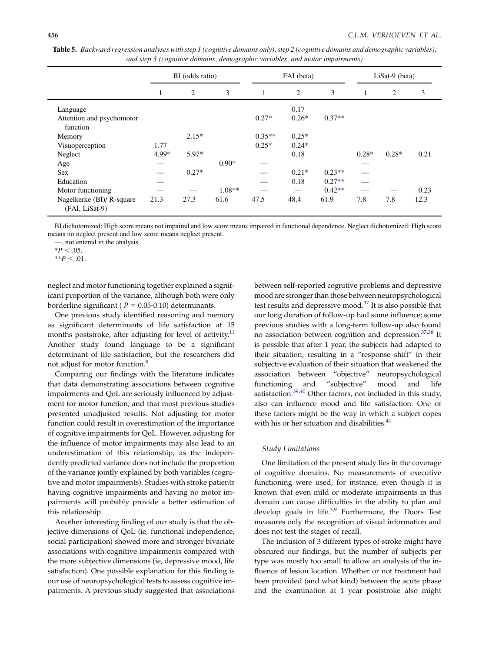|                                             |         | BI (odds ratio) |          | FAI (beta) |         |          | $LiSat-9$ (beta)         |         |      |
|---------------------------------------------|---------|-----------------|----------|------------|---------|----------|--------------------------|---------|------|
|                                             | $\perp$ | 2               | 3        | 1          | 2       | 3        | 1                        | 2       | 3    |
| Language                                    |         |                 |          |            | 0.17    |          |                          |         |      |
| Attention and psychomotor<br>function       |         |                 |          | $0.27*$    | $0.26*$ | $0.37**$ |                          |         |      |
| Memory                                      |         | $2.15*$         |          | $0.35**$   | $0.25*$ |          |                          |         |      |
| Visuoperception                             | 1.77    |                 |          | $0.25*$    | $0.24*$ |          |                          |         |      |
| Neglect                                     | 4.99*   | $5.97*$         |          |            | 0.18    |          | $0.28*$                  | $0.28*$ | 0.21 |
| Age                                         |         |                 | $0.90*$  |            |         |          |                          |         |      |
| Sex                                         |         | $0.27*$         |          |            | $0.21*$ | $0.23**$ |                          |         |      |
| Education                                   |         |                 |          |            | 0.18    | $0.27**$ | $\overline{\phantom{0}}$ |         |      |
| Motor functioning                           |         |                 | $1.08**$ |            |         | $0.42**$ |                          |         | 0.23 |
| Nagelkerke (BI)/ R-square<br>(FAI, LiSat-9) | 21.3    | 27.3            | 61.6     | 47.5       | 48.4    | 61.9     | 7.8                      | 7.8     | 12.3 |

<span id="page-7-0"></span>Table 5. Backward regression analyses with step 1 (cognitive domains only), step 2 (cognitive domains and demographic variables), and step 3 (cognitive domains, demographic variables, and motor impairments)

BI dichotomized: High score means not impaired and low score means impaired in functional dependence. Neglect dichotomized: High score means no neglect present and low score means neglect present.

—, not entered in the analysis.

 $*P < .05$ .

 $*$  $P < .01$ .

neglect and motor functioning together explained a significant proportion of the variance, although both were only borderline significant ( $P = 0.05$ -0.10) determinants.

One previous study identified reasoning and memory as significant determinants of life satisfaction at 15 months poststroke, after adjusting for level of activity. $11$ Another study found language to be a significant determinant of life satisfaction, but the researchers did not adjust for motor function.<sup>[8](#page-8-0)</sup>

Comparing our findings with the literature indicates that data demonstrating associations between cognitive impairments and QoL are seriously influenced by adjustment for motor function, and that most previous studies presented unadjusted results. Not adjusting for motor function could result in overestimation of the importance of cognitive impairments for QoL. However, adjusting for the influence of motor impairments may also lead to an underestimation of this relationship, as the independently predicted variance does not include the proportion of the variance jointly explained by both variables (cognitive and motor impairments). Studies with stroke patients having cognitive impairments and having no motor impairments will probably provide a better estimation of this relationship.

Another interesting finding of our study is that the objective dimensions of QoL (ie, functional independence, social participation) showed more and stronger bivariate associations with cognitive impairments compared with the more subjective dimensions (ie, depressive mood, life satisfaction). One possible explanation for this finding is our use of neuropsychological tests to assess cognitive impairments. A previous study suggested that associations between self-reported cognitive problems and depressive mood are stronger than those between neuropsychological test results and depressive mood. $37$  It is also possible that our long duration of follow-up had some influence; some previous studies with a long-term follow-up also found no association between cognition and depression.<sup>[37,38](#page-9-0)</sup> It is possible that after 1 year, the subjects had adapted to their situation, resulting in a ''response shift'' in their subjective evaluation of their situation that weakened the association between ''objective'' neuropsychological functioning and ''subjective'' mood and life satisfaction.<sup>[39,40](#page-9-0)</sup> Other factors, not included in this study, also can influence mood and life satisfaction. One of these factors might be the way in which a subject copes with his or her situation and disabilities. $41$ 

### Study Limitations

One limitation of the present study lies in the coverage of cognitive domains. No measurements of executive functioning were used, for instance, even though it is known that even mild or moderate impairments in this domain can cause difficulties in the ability to plan and develop goals in life. $3.9$  Furthermore, the Doors Test measures only the recognition of visual information and does not test the stages of recall.

The inclusion of 3 different types of stroke might have obscured our findings, but the number of subjects per type was mostly too small to allow an analysis of the influence of lesion location. Whether or not treatment had been provided (and what kind) between the acute phase and the examination at 1 year poststroke also might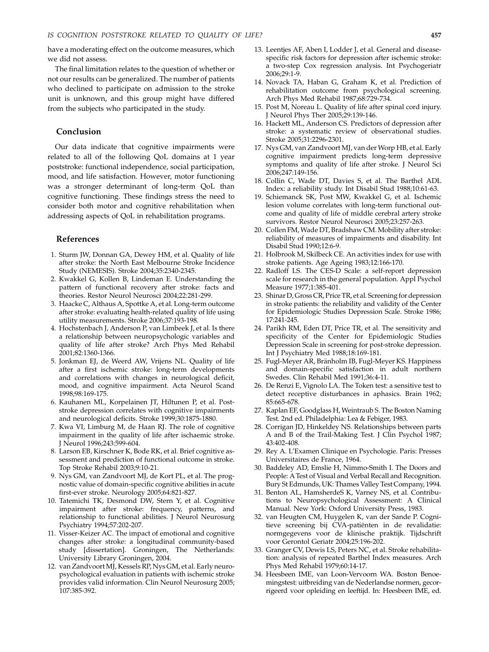<span id="page-8-0"></span>have a moderating effect on the outcome measures, which we did not assess.

The final limitation relates to the question of whether or not our results can be generalized. The number of patients who declined to participate on admission to the stroke unit is unknown, and this group might have differed from the subjects who participated in the study.

## Conclusion

Our data indicate that cognitive impairments were related to all of the following QoL domains at 1 year poststroke: functional independence, social participation, mood, and life satisfaction. However, motor functioning was a stronger determinant of long-term QoL than cognitive functioning. These findings stress the need to consider both motor and cognitive rehabilitation when addressing aspects of QoL in rehabilitation programs.

#### References

- 1. Sturm JW, Donnan GA, Dewey HM, et al. Quality of life after stroke: the North East Melbourne Stroke Incidence Study (NEMESIS). Stroke 2004;35:2340-2345.
- 2. Kwakkel G, Kollen B, Lindeman E. Understanding the pattern of functional recovery after stroke: facts and theories. Restor Neurol Neurosci 2004;22:281-299.
- 3. Haacke C, Althaus A, Spottke A, et al. Long-term outcome after stroke: evaluating health-related quality of life using utility measurements. Stroke 2006;37:193-198.
- 4. Hochstenbach J, Anderson P, van Limbeek J, et al. Is there a relationship between neuropsychologic variables and quality of life after stroke? Arch Phys Med Rehabil 2001;82:1360-1366.
- 5. Jonkman EJ, de Weerd AW, Vrijens NL. Quality of life after a first ischemic stroke: long-term developments and correlations with changes in neurological deficit, mood, and cognitive impairment. Acta Neurol Scand 1998;98:169-175.
- 6. Kauhanen ML, Korpelainen JT, Hiltunen P, et al. Poststroke depression correlates with cognitive impairments and neurological deficits. Stroke 1999;30:1875-1880.
- 7. Kwa VI, Limburg M, de Haan RJ. The role of cognitive impairment in the quality of life after ischaemic stroke. J Neurol 1996;243:599-604.
- 8. Larson EB, Kirschner K, Bode RK, et al. Brief cognitive assessment and prediction of functional outcome in stroke. Top Stroke Rehabil 2003;9:10-21.
- 9. Nys GM, van Zandvoort MJ, de Kort PL, et al. The prognostic value of domain-specific cognitive abilities in acute first-ever stroke. Neurology 2005;64:821-827.
- 10. Tatemichi TK, Desmond DW, Stern Y, et al. Cognitive impairment after stroke: frequency, patterns, and relationship to functional abilities. J Neurol Neurosurg Psychiatry 1994;57:202-207.
- 11. Visser-Keizer AC. The impact of emotional and cognitive changes after stroke: a longitudinal community-based study [dissertation]. Groningen, The Netherlands: University Library Groningen, 2004.
- 12. van Zandvoort MJ, Kessels RP, Nys GM, et al. Early neuropsychological evaluation in patients with ischemic stroke provides valid information. Clin Neurol Neurosurg 2005; 107:385-392.
- 13. Leentjes AF, Aben I, Lodder J, et al. General and diseasespecific risk factors for depression after ischemic stroke: a two-step Cox regression analysis. Int Psychogeriatr 2006;29:1-9.
- 14. Novack TA, Haban G, Graham K, et al. Prediction of rehabilitation outcome from psychological screening. Arch Phys Med Rehabil 1987;68:729-734.
- 15. Post M, Noreau L. Quality of life after spinal cord injury. J Neurol Phys Ther 2005;29:139-146.
- 16. Hackett ML, Anderson CS. Predictors of depression after stroke: a systematic review of observational studies. Stroke 2005;31:2296-2301.
- 17. Nys GM, van Zandvoort MJ, van der Worp HB, et al. Early cognitive impairment predicts long-term depressive symptoms and quality of life after stroke. J Neurol Sci 2006;247:149-156.
- 18. Collin C, Wade DT, Davies S, et al. The Barthel ADL Index: a reliability study. Int Disabil Stud 1988;10:61-63.
- 19. Schiemanck SK, Post MW, Kwakkel G, et al. Ischemic lesion volume correlates with long-term functional outcome and quality of life of middle cerebral artery stroke survivors. Restor Neurol Neurosci 2005;23:257-263.
- 20. Collen FM, Wade DT, Bradshaw CM. Mobility after stroke: reliability of measures of impairments and disability. Int Disabil Stud 1990;12:6-9.
- 21. Holbrook M, Skilbeck CE. An activities index for use with stroke patients. Age Ageing 1983;12:166-170.
- 22. Radloff LS. The CES-D Scale: a self-report depression scale for research in the general population. Appl Psychol Measure 1977;1:385-401.
- 23. Shinar D, Gross CR, Price TR, et al. Screening for depression in stroke patients: the reliability and validity of the Center for Epidemiologic Studies Depression Scale. Stroke 1986; 17:241-245.
- 24. Parikh RM, Eden DT, Price TR, et al. The sensitivity and specificity of the Center for Epidemiologic Studies Depression Scale in screening for post-stroke depression. Int J Psychiatry Med 1988;18:169-181.
- 25. Fugl-Meyer AR, Bränholm IB, Fugl-Meyer KS. Happiness and domain-specific satisfaction in adult northern Swedes. Clin Rehabil Med 1991;36:4-11.
- 26. De Renzi E, Vignolo LA. The Token test: a sensitive test to detect receptive disturbances in aphasics. Brain 1962; 85:665-678.
- 27. Kaplan EF, Goodglass H, Weintraub S. The Boston Naming Test. 2nd ed. Philadelphia: Lea & Febiger, 1983.
- 28. Corrigan JD, Hinkeldey NS. Relationships between parts A and B of the Trail-Making Test. J Clin Psychol 1987; 43:402-408.
- 29. Rey A. L'Examen Clinique en Psychologie. Paris: Presses Universitaires de France, 1964.
- 30. Baddeley AD, Emslie H, Nimmo-Smith I. The Doors and People: ATest of Visual and Verbal Recall and Recognition. Bury St Edmunds, UK: Thames Valley Test Company, 1994.
- 31. Benton AL, HamsherdeS K, Varney NS, et al. Contributions to Neuropsychological Assessment: A Clinical Manual. New York: Oxford University Press, 1983.
- 32. van Heugten CM, Huygelen K, van der Sande P. Cognitieve screening bij CVA-patiënten in de revalidatie: normgegevens voor de klinische praktijk. Tijdschrift voor Gerontol Geriatr 2004;25:196-202.
- 33. Granger CV, Dewis LS, Peters NC, et al. Stroke rehabilitation: analysis of repeated Barthel Index measures. Arch Phys Med Rehabil 1979;60:14-17.
- 34. Heesbeen IME, van Loon-Vervoorn WA. Boston Benoemingstest: uitbreiding van de Nederlandse normen, gecorrigeerd voor opleiding en leeftijd. In: Heesbeen IME, ed.